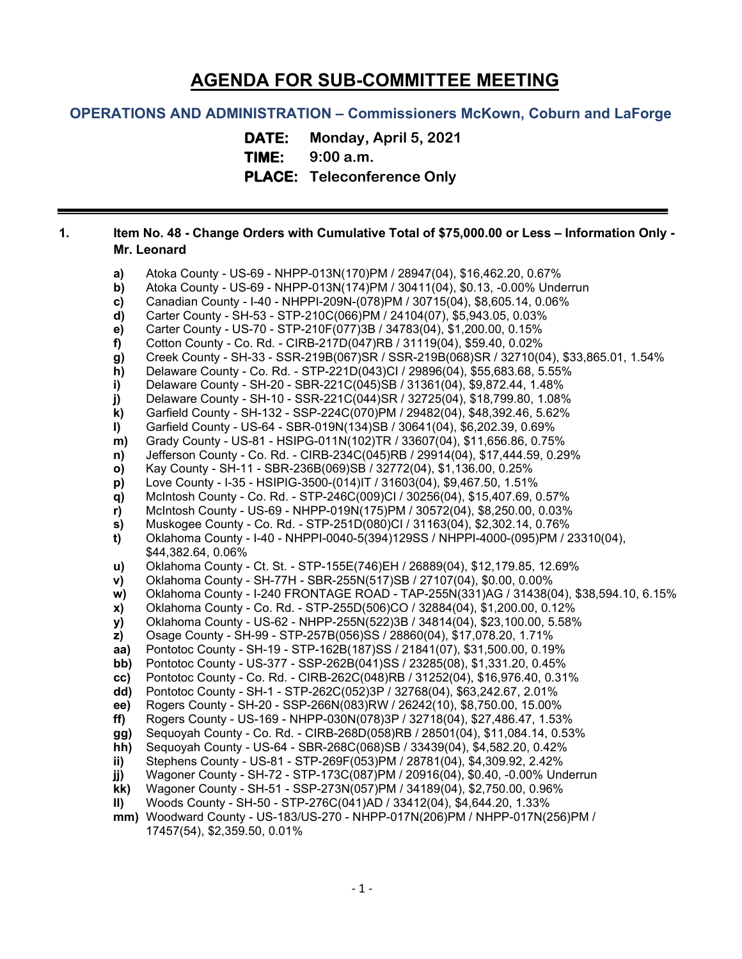# **AGENDA FOR SUB-COMMITTEE MEETING**

## **OPERATIONS AND ADMINISTRATION – Commissioners McKown, Coburn and LaForge**

**DATE: Monday, April 5, 2021 TIME: 9:00 a.m. PLACE: Teleconference Only**

## **1. Item No. 48 - Change Orders with Cumulative Total of \$75,000.00 or Less – Information Only - Mr. Leonard**

**a)** Atoka County - US-69 - NHPP-013N(170)PM / 28947(04), \$16,462.20, 0.67% **b)** Atoka County - US-69 - NHPP-013N(174)PM / 30411(04), \$0.13, -0.00% Underrun **c)** Canadian County - I-40 - NHPPI-209N-(078)PM / 30715(04), \$8,605.14, 0.06% **d)** Carter County - SH-53 - STP-210C(066)PM / 24104(07), \$5,943.05, 0.03% **e)** Carter County - US-70 - STP-210F(077)3B / 34783(04), \$1,200.00, 0.15% **f)** Cotton County - Co. Rd. - CIRB-217D(047)RB / 31119(04), \$59.40, 0.02% **g)** Creek County - SH-33 - SSR-219B(067)SR / SSR-219B(068)SR / 32710(04), \$33,865.01, 1.54% **h)** Delaware County - Co. Rd. - STP-221D(043)CI / 29896(04), \$55,683.68, 5.55% **i)** Delaware County - SH-20 - SBR-221C(045)SB / 31361(04), \$9,872.44, 1.48% **j)** Delaware County - SH-10 - SSR-221C(044)SR / 32725(04), \$18,799.80, 1.08% **k)** Garfield County - SH-132 - SSP-224C(070)PM / 29482(04), \$48,392.46, 5.62% **l)** Garfield County - US-64 - SBR-019N(134)SB / 30641(04), \$6,202.39, 0.69% **m)** Grady County - US-81 - HSIPG-011N(102)TR / 33607(04), \$11,656.86, 0.75% **n)** Jefferson County - Co. Rd. - CIRB-234C(045)RB / 29914(04), \$17,444.59, 0.29% **o)** Kay County - SH-11 - SBR-236B(069)SB / 32772(04), \$1,136.00, 0.25% **p)** Love County - I-35 - HSIPIG-3500-(014)IT / 31603(04), \$9,467.50, 1.51% **q)** McIntosh County - Co. Rd. - STP-246C(009)CI / 30256(04), \$15,407.69, 0.57% **r)** McIntosh County - US-69 - NHPP-019N(175)PM / 30572(04), \$8,250.00, 0.03% **s)** Muskogee County - Co. Rd. - STP-251D(080)CI / 31163(04), \$2,302.14, 0.76% **t)** Oklahoma County - I-40 - NHPPI-0040-5(394)129SS / NHPPI-4000-(095)PM / 23310(04), \$44,382.64, 0.06% **u)** Oklahoma County - Ct. St. - STP-155E(746)EH / 26889(04), \$12,179.85, 12.69% **v)** Oklahoma County - SH-77H - SBR-255N(517)SB / 27107(04), \$0.00, 0.00% **w)** Oklahoma County - I-240 FRONTAGE ROAD - TAP-255N(331)AG / 31438(04), \$38,594.10, 6.15% **x)** Oklahoma County - Co. Rd. - STP-255D(506)CO / 32884(04), \$1,200.00, 0.12% **y)** Oklahoma County - US-62 - NHPP-255N(522)3B / 34814(04), \$23,100.00, 5.58% **z)** Osage County - SH-99 - STP-257B(056)SS / 28860(04), \$17,078.20, 1.71% **aa)** Pontotoc County - SH-19 - STP-162B(187)SS / 21841(07), \$31,500.00, 0.19% **bb)** Pontotoc County - US-377 - SSP-262B(041)SS / 23285(08), \$1,331.20, 0.45% **cc)** Pontotoc County - Co. Rd. - CIRB-262C(048)RB / 31252(04), \$16,976.40, 0.31% **dd)** Pontotoc County - SH-1 - STP-262C(052)3P / 32768(04), \$63,242.67, 2.01% **ee)** Rogers County - SH-20 - SSP-266N(083)RW / 26242(10), \$8,750.00, 15.00% **ff)** Rogers County - US-169 - NHPP-030N(078)3P / 32718(04), \$27,486.47, 1.53% **gg)** Sequoyah County - Co. Rd. - CIRB-268D(058)RB / 28501(04), \$11,084.14, 0.53% **hh)** Sequoyah County - US-64 - SBR-268C(068)SB / 33439(04), \$4,582.20, 0.42% **ii)** Stephens County - US-81 - STP-269F(053)PM / 28781(04), \$4,309.92, 2.42% **jj)** Wagoner County - SH-72 - STP-173C(087)PM / 20916(04), \$0.40, -0.00% Underrun **kk)** Wagoner County - SH-51 - SSP-273N(057)PM / 34189(04), \$2,750.00, 0.96% **ll)** Woods County - SH-50 - STP-276C(041)AD / 33412(04), \$4,644.20, 1.33% **mm)** Woodward County - US-183/US-270 - NHPP-017N(206)PM / NHPP-017N(256)PM /

17457(54), \$2,359.50, 0.01%